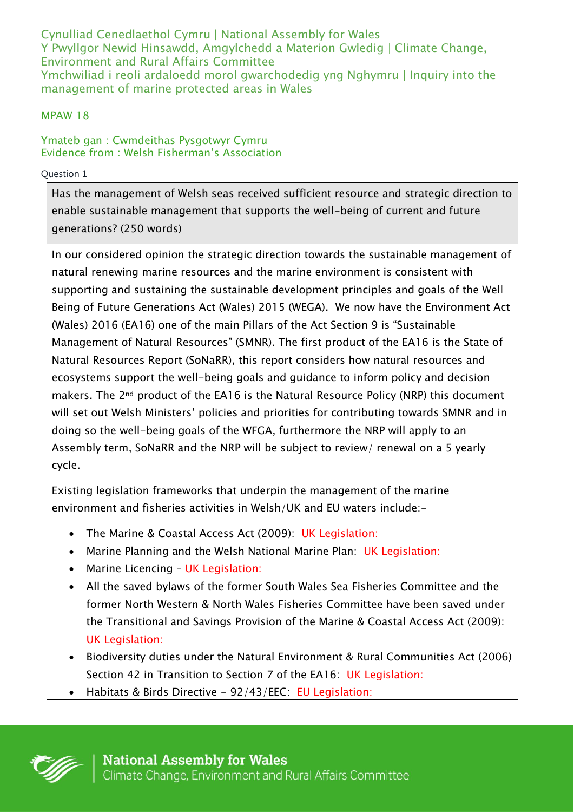Cynulliad Cenedlaethol Cymru | National Assembly for Wales Y Pwyllgor Newid Hinsawdd, Amgylchedd a Materion Gwledig | Climate Change, Environment and Rural Affairs Committee Ymchwiliad i reoli ardaloedd morol gwarchodedig yng Nghymru | Inquiry into the management of marine protected areas in Wales

## MPAW 18

## Ymateb gan : Cwmdeithas Pysgotwyr Cymru Evidence from : Welsh Fisherman's Association

### Question 1

Has the management of Welsh seas received sufficient resource and strategic direction to enable sustainable management that supports the well-being of current and future generations? (250 words)

In our considered opinion the strategic direction towards the sustainable management of natural renewing marine resources and the marine environment is consistent with supporting and sustaining the sustainable development principles and goals of the Well Being of Future Generations Act (Wales) 2015 (WEGA). We now have the Environment Act (Wales) 2016 (EA16) one of the main Pillars of the Act Section 9 is "Sustainable Management of Natural Resources" (SMNR). The first product of the EA16 is the State of Natural Resources Report (SoNaRR), this report considers how natural resources and ecosystems support the well-being goals and guidance to inform policy and decision makers. The 2<sup>nd</sup> product of the EA16 is the Natural Resource Policy (NRP) this document will set out Welsh Ministers' policies and priorities for contributing towards SMNR and in doing so the well-being goals of the WFGA, furthermore the NRP will apply to an Assembly term, SoNaRR and the NRP will be subject to review/ renewal on a 5 yearly cycle.

Existing legislation frameworks that underpin the management of the marine environment and fisheries activities in Welsh/UK and EU waters include:-

- The Marine & Coastal Access Act (2009): UK Legislation:
- Marine Planning and the Welsh National Marine Plan: UK Legislation:
- Marine Licencing UK Legislation:
- All the saved bylaws of the former South Wales Sea Fisheries Committee and the former North Western & North Wales Fisheries Committee have been saved under the Transitional and Savings Provision of the Marine & Coastal Access Act (2009): UK Legislation:
- Biodiversity duties under the Natural Environment & Rural Communities Act (2006) Section 42 in Transition to Section 7 of the EA16: UK Legislation:
- Habitats & Birds Directive 92/43/EEC: EU Legislation:

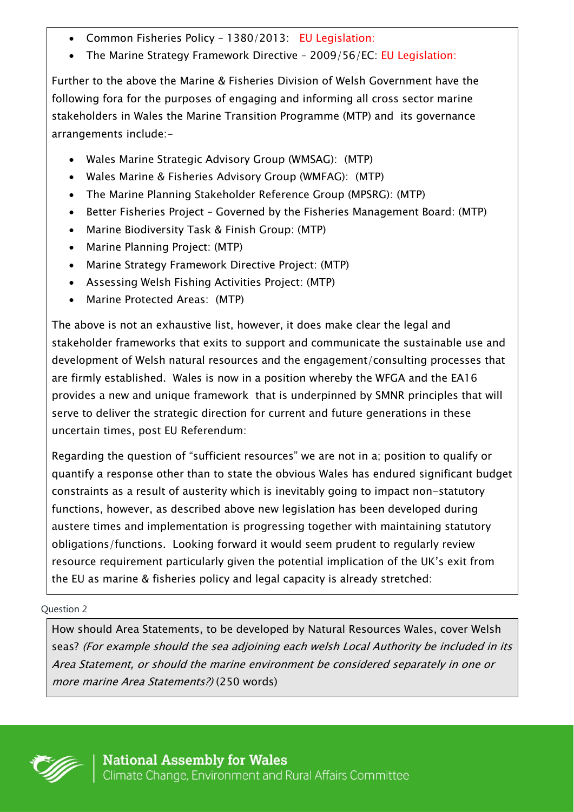- Common Fisheries Policy 1380/2013: EU Legislation:
- The Marine Strategy Framework Directive 2009/56/EC: EU Legislation:

Further to the above the Marine & Fisheries Division of Welsh Government have the following fora for the purposes of engaging and informing all cross sector marine stakeholders in Wales the Marine Transition Programme (MTP) and its governance arrangements include:-

- Wales Marine Strategic Advisory Group (WMSAG): (MTP)
- Wales Marine & Fisheries Advisory Group (WMFAG): (MTP)
- The Marine Planning Stakeholder Reference Group (MPSRG): (MTP)
- Better Fisheries Project Governed by the Fisheries Management Board: (MTP)
- Marine Biodiversity Task & Finish Group: (MTP)
- Marine Planning Project: (MTP)
- Marine Strategy Framework Directive Project: (MTP)
- Assessing Welsh Fishing Activities Project: (MTP)
- Marine Protected Areas: (MTP)

The above is not an exhaustive list, however, it does make clear the legal and stakeholder frameworks that exits to support and communicate the sustainable use and development of Welsh natural resources and the engagement/consulting processes that are firmly established. Wales is now in a position whereby the WFGA and the EA16 provides a new and unique framework that is underpinned by SMNR principles that will serve to deliver the strategic direction for current and future generations in these uncertain times, post EU Referendum:

Regarding the question of "sufficient resources" we are not in a; position to qualify or quantify a response other than to state the obvious Wales has endured significant budget constraints as a result of austerity which is inevitably going to impact non-statutory functions, however, as described above new legislation has been developed during austere times and implementation is progressing together with maintaining statutory obligations/functions. Looking forward it would seem prudent to regularly review resource requirement particularly given the potential implication of the UK's exit from the EU as marine & fisheries policy and legal capacity is already stretched:

## Question 2

How should Area Statements, to be developed by Natural Resources Wales, cover Welsh seas? (For example should the sea adjoining each welsh Local Authority be included in its Area Statement, or should the marine environment be considered separately in one or more marine Area Statements?) (250 words)

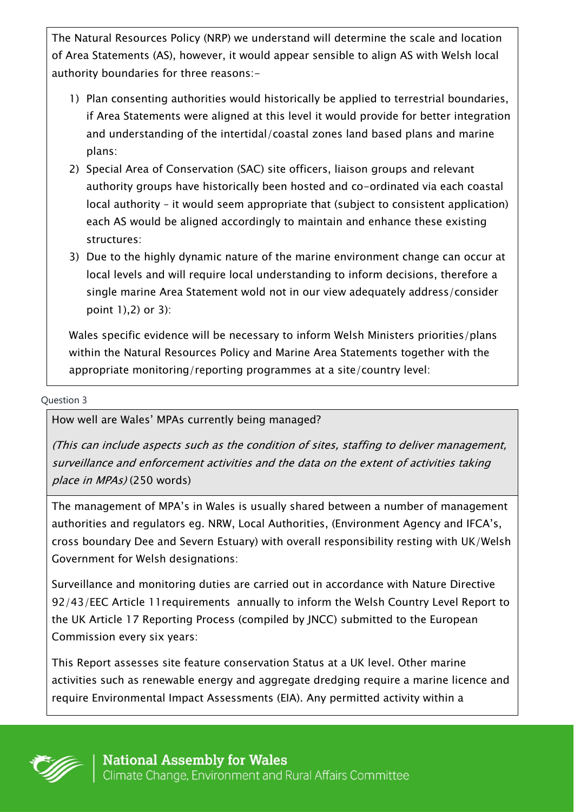The Natural Resources Policy (NRP) we understand will determine the scale and location of Area Statements (AS), however, it would appear sensible to align AS with Welsh local authority boundaries for three reasons:-

- 1) Plan consenting authorities would historically be applied to terrestrial boundaries, if Area Statements were aligned at this level it would provide for better integration and understanding of the intertidal/coastal zones land based plans and marine plans:
- 2) Special Area of Conservation (SAC) site officers, liaison groups and relevant authority groups have historically been hosted and co-ordinated via each coastal local authority – it would seem appropriate that (subject to consistent application) each AS would be aligned accordingly to maintain and enhance these existing structures:
- 3) Due to the highly dynamic nature of the marine environment change can occur at local levels and will require local understanding to inform decisions, therefore a single marine Area Statement wold not in our view adequately address/consider point 1),2) or 3):

Wales specific evidence will be necessary to inform Welsh Ministers priorities/plans within the Natural Resources Policy and Marine Area Statements together with the appropriate monitoring/reporting programmes at a site/country level:

#### Question 3

How well are Wales' MPAs currently being managed?

(This can include aspects such as the condition of sites, staffing to deliver management, surveillance and enforcement activities and the data on the extent of activities taking place in MPAs) (250 words)

The management of MPA's in Wales is usually shared between a number of management authorities and regulators eg. NRW, Local Authorities, (Environment Agency and IFCA's, cross boundary Dee and Severn Estuary) with overall responsibility resting with UK/Welsh Government for Welsh designations:

Surveillance and monitoring duties are carried out in accordance with Nature Directive 92/43/EEC Article 11requirements annually to inform the Welsh Country Level Report to the UK Article 17 Reporting Process (compiled by JNCC) submitted to the European Commission every six years:

This Report assesses site feature conservation Status at a UK level. Other marine activities such as renewable energy and aggregate dredging require a marine licence and require Environmental Impact Assessments (EIA). Any permitted activity within a

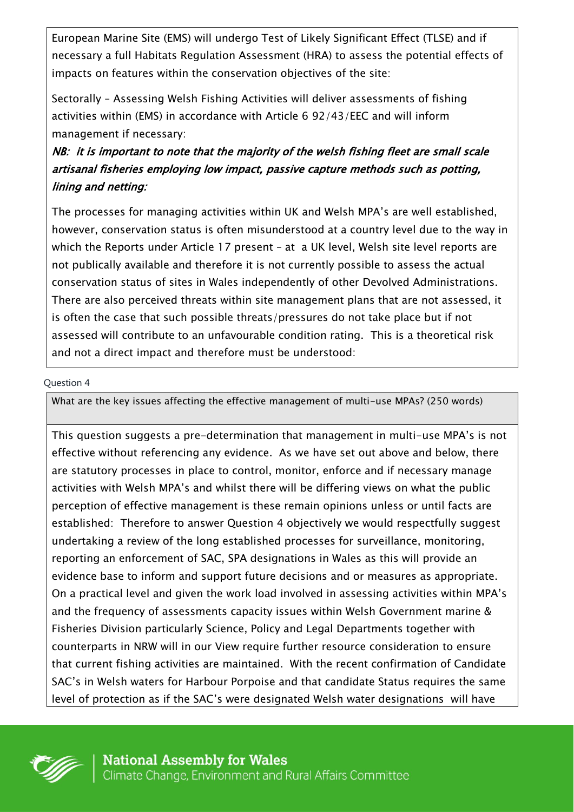European Marine Site (EMS) will undergo Test of Likely Significant Effect (TLSE) and if necessary a full Habitats Regulation Assessment (HRA) to assess the potential effects of impacts on features within the conservation objectives of the site:

Sectorally – Assessing Welsh Fishing Activities will deliver assessments of fishing activities within (EMS) in accordance with Article 6 92/43/EEC and will inform management if necessary:

# NB: it is important to note that the majority of the welsh fishing fleet are small scale artisanal fisheries employing low impact, passive capture methods such as potting, lining and netting:

The processes for managing activities within UK and Welsh MPA's are well established, however, conservation status is often misunderstood at a country level due to the way in which the Reports under Article 17 present – at a UK level, Welsh site level reports are not publically available and therefore it is not currently possible to assess the actual conservation status of sites in Wales independently of other Devolved Administrations. There are also perceived threats within site management plans that are not assessed, it is often the case that such possible threats/pressures do not take place but if not assessed will contribute to an unfavourable condition rating. This is a theoretical risk and not a direct impact and therefore must be understood:

### Question 4

What are the key issues affecting the effective management of multi-use MPAs? (250 words)

This question suggests a pre-determination that management in multi-use MPA's is not effective without referencing any evidence. As we have set out above and below, there are statutory processes in place to control, monitor, enforce and if necessary manage activities with Welsh MPA's and whilst there will be differing views on what the public perception of effective management is these remain opinions unless or until facts are established: Therefore to answer Question 4 objectively we would respectfully suggest undertaking a review of the long established processes for surveillance, monitoring, reporting an enforcement of SAC, SPA designations in Wales as this will provide an evidence base to inform and support future decisions and or measures as appropriate. On a practical level and given the work load involved in assessing activities within MPA's and the frequency of assessments capacity issues within Welsh Government marine & Fisheries Division particularly Science, Policy and Legal Departments together with counterparts in NRW will in our View require further resource consideration to ensure that current fishing activities are maintained. With the recent confirmation of Candidate SAC's in Welsh waters for Harbour Porpoise and that candidate Status requires the same level of protection as if the SAC's were designated Welsh water designations will have

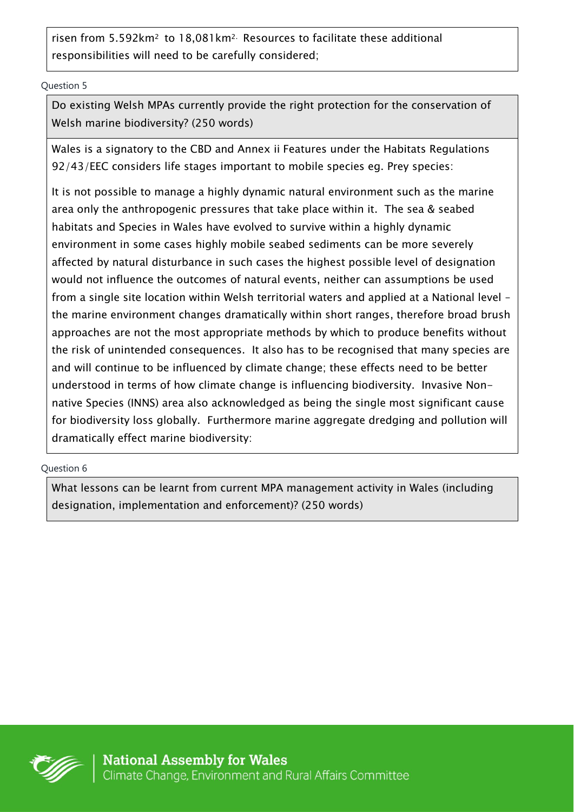risen from 5.592km2 to 18,081km2. Resources to facilitate these additional responsibilities will need to be carefully considered;

Question 5

Do existing Welsh MPAs currently provide the right protection for the conservation of Welsh marine biodiversity? (250 words)

Wales is a signatory to the CBD and Annex ii Features under the Habitats Regulations 92/43/EEC considers life stages important to mobile species eq. Prey species:

It is not possible to manage a highly dynamic natural environment such as the marine area only the anthropogenic pressures that take place within it. The sea & seabed habitats and Species in Wales have evolved to survive within a highly dynamic environment in some cases highly mobile seabed sediments can be more severely affected by natural disturbance in such cases the highest possible level of designation would not influence the outcomes of natural events, neither can assumptions be used from a single site location within Welsh territorial waters and applied at a National level – the marine environment changes dramatically within short ranges, therefore broad brush approaches are not the most appropriate methods by which to produce benefits without the risk of unintended consequences. It also has to be recognised that many species are and will continue to be influenced by climate change; these effects need to be better understood in terms of how climate change is influencing biodiversity. Invasive Nonnative Species (INNS) area also acknowledged as being the single most significant cause for biodiversity loss globally. Furthermore marine aggregate dredging and pollution will dramatically effect marine biodiversity:

Question 6

What lessons can be learnt from current MPA management activity in Wales (including designation, implementation and enforcement)? (250 words)

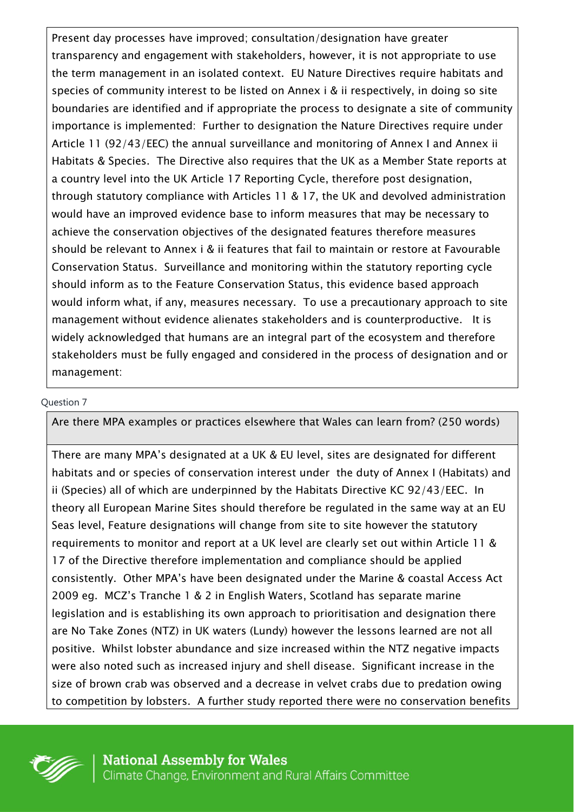Present day processes have improved; consultation/designation have greater transparency and engagement with stakeholders, however, it is not appropriate to use the term management in an isolated context. EU Nature Directives require habitats and species of community interest to be listed on Annex i & ii respectively, in doing so site boundaries are identified and if appropriate the process to designate a site of community importance is implemented: Further to designation the Nature Directives require under Article 11 (92/43/EEC) the annual surveillance and monitoring of Annex I and Annex ii Habitats & Species. The Directive also requires that the UK as a Member State reports at a country level into the UK Article 17 Reporting Cycle, therefore post designation, through statutory compliance with Articles 11 & 17, the UK and devolved administration would have an improved evidence base to inform measures that may be necessary to achieve the conservation objectives of the designated features therefore measures should be relevant to Annex i & ii features that fail to maintain or restore at Favourable Conservation Status. Surveillance and monitoring within the statutory reporting cycle should inform as to the Feature Conservation Status, this evidence based approach would inform what, if any, measures necessary. To use a precautionary approach to site management without evidence alienates stakeholders and is counterproductive. It is widely acknowledged that humans are an integral part of the ecosystem and therefore stakeholders must be fully engaged and considered in the process of designation and or management:

### Question 7

Are there MPA examples or practices elsewhere that Wales can learn from? (250 words)

There are many MPA's designated at a UK & EU level, sites are designated for different habitats and or species of conservation interest under the duty of Annex I (Habitats) and ii (Species) all of which are underpinned by the Habitats Directive KC 92/43/EEC. In theory all European Marine Sites should therefore be regulated in the same way at an EU Seas level, Feature designations will change from site to site however the statutory requirements to monitor and report at a UK level are clearly set out within Article 11 & 17 of the Directive therefore implementation and compliance should be applied consistently. Other MPA's have been designated under the Marine & coastal Access Act 2009 eg. MCZ's Tranche 1 & 2 in English Waters, Scotland has separate marine legislation and is establishing its own approach to prioritisation and designation there are No Take Zones (NTZ) in UK waters (Lundy) however the lessons learned are not all positive. Whilst lobster abundance and size increased within the NTZ negative impacts were also noted such as increased injury and shell disease. Significant increase in the size of brown crab was observed and a decrease in velvet crabs due to predation owing to competition by lobsters. A further study reported there were no conservation benefits

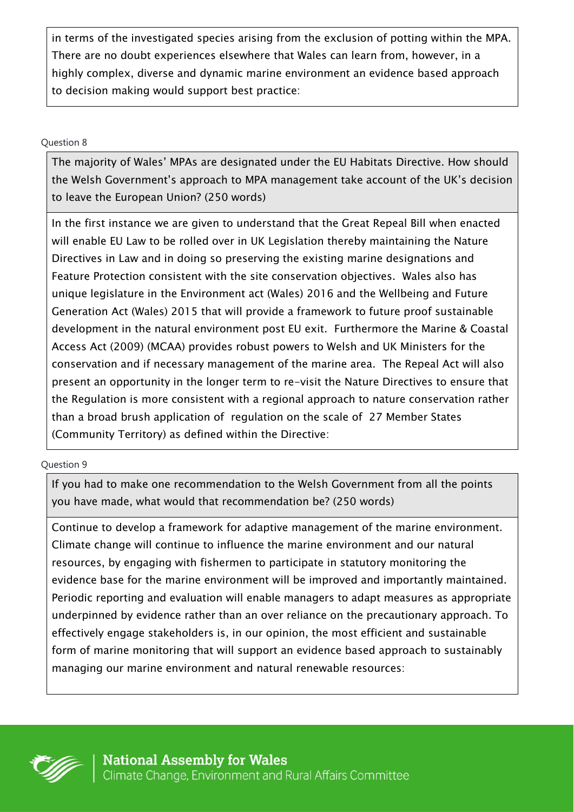in terms of the investigated species arising from the exclusion of potting within the MPA. There are no doubt experiences elsewhere that Wales can learn from, however, in a highly complex, diverse and dynamic marine environment an evidence based approach to decision making would support best practice:

### Question 8

The majority of Wales' MPAs are designated under the EU Habitats Directive. How should the Welsh Government's approach to MPA management take account of the UK's decision to leave the European Union? (250 words)

In the first instance we are given to understand that the Great Repeal Bill when enacted will enable EU Law to be rolled over in UK Legislation thereby maintaining the Nature Directives in Law and in doing so preserving the existing marine designations and Feature Protection consistent with the site conservation objectives. Wales also has unique legislature in the Environment act (Wales) 2016 and the Wellbeing and Future Generation Act (Wales) 2015 that will provide a framework to future proof sustainable development in the natural environment post EU exit. Furthermore the Marine & Coastal Access Act (2009) (MCAA) provides robust powers to Welsh and UK Ministers for the conservation and if necessary management of the marine area. The Repeal Act will also present an opportunity in the longer term to re-visit the Nature Directives to ensure that the Regulation is more consistent with a regional approach to nature conservation rather than a broad brush application of regulation on the scale of 27 Member States (Community Territory) as defined within the Directive:

### Question 9

If you had to make one recommendation to the Welsh Government from all the points you have made, what would that recommendation be? (250 words)

Continue to develop a framework for adaptive management of the marine environment. Climate change will continue to influence the marine environment and our natural resources, by engaging with fishermen to participate in statutory monitoring the evidence base for the marine environment will be improved and importantly maintained. Periodic reporting and evaluation will enable managers to adapt measures as appropriate underpinned by evidence rather than an over reliance on the precautionary approach. To effectively engage stakeholders is, in our opinion, the most efficient and sustainable form of marine monitoring that will support an evidence based approach to sustainably managing our marine environment and natural renewable resources: